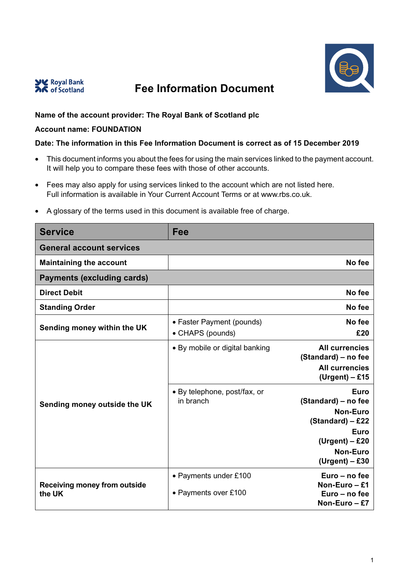



## **Fee Information Document**

## **Name of the account provider: The Royal Bank of Scotland plc**

## **Account name: FOUNDATION**

## **Date: The information in this Fee Information Document is correct as of 15 December 2019**

- This document informs you about the fees for using the main services linked to the payment account. It will help you to compare these fees with those of other accounts.
- Fees may also apply for using services linked to the account which are not listed here. Full information is available in Your Current Account Terms or at www.rbs.co.uk.

| <b>Service</b>                                | Fee                                           |                                                                                                                                              |  |
|-----------------------------------------------|-----------------------------------------------|----------------------------------------------------------------------------------------------------------------------------------------------|--|
| <b>General account services</b>               |                                               |                                                                                                                                              |  |
| <b>Maintaining the account</b>                |                                               | No fee                                                                                                                                       |  |
| <b>Payments (excluding cards)</b>             |                                               |                                                                                                                                              |  |
| <b>Direct Debit</b>                           |                                               | No fee                                                                                                                                       |  |
| <b>Standing Order</b>                         |                                               | No fee                                                                                                                                       |  |
| Sending money within the UK                   | • Faster Payment (pounds)<br>• CHAPS (pounds) | No fee<br>£20                                                                                                                                |  |
| Sending money outside the UK                  | • By mobile or digital banking                | <b>All currencies</b><br>(Standard) – no fee<br><b>All currencies</b><br>$(Urgent) - £15$                                                    |  |
|                                               | • By telephone, post/fax, or<br>in branch     | <b>Euro</b><br>(Standard) – no fee<br><b>Non-Euro</b><br>(Standard) - £22<br>Euro<br>$(Urgent) - £20$<br><b>Non-Euro</b><br>$(Urgent) - £30$ |  |
| <b>Receiving money from outside</b><br>the UK | • Payments under £100<br>• Payments over £100 | Euro - no fee<br>Non-Euro $-$ £1<br>Euro - no fee<br>Non-Euro - £7                                                                           |  |

• A glossary of the terms used in this document is available free of charge.